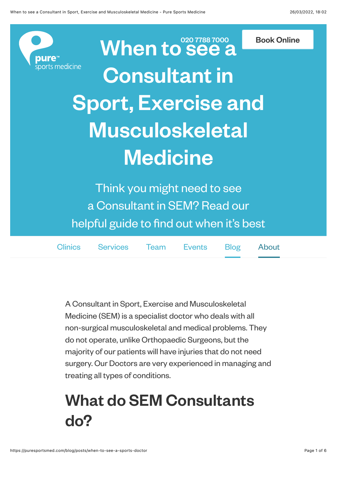

When to See a [Book Online](https://puresportsmed.com/booking/appointment/appointment-types) Consultant in Sport, Exercise and Musculoskeletal **Medicine** 

Think you might need to see a Consultant in SEM? Read our helpful guide to find out when it's best

| Clinics Services Team Events Blog About |  |  |
|-----------------------------------------|--|--|
|                                         |  |  |

A Consultant in Sport, Exercise and Musculoskeletal Medicine (SEM) is a specialist doctor who deals with all non-surgical musculoskeletal and medical problems. They do not operate, unlike Orthopaedic Surgeons, but the majority of our patients will have injuries that do not need surgery. Our Doctors are very experienced in managing and treating all types of conditions.

## What do SEM Consultants do?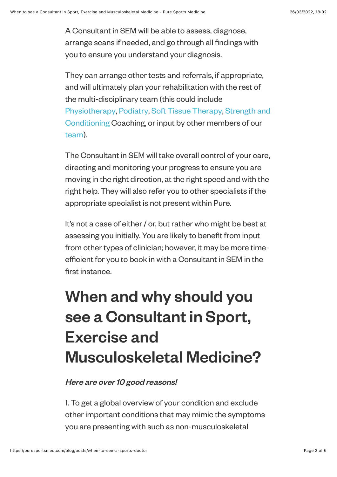A Consultant in SEM will be able to assess, diagnose, arrange scans if needed, and go through all findings with you to ensure you understand your diagnosis.

They can arrange other tests and referrals, if appropriate, and will ultimately plan your rehabilitation with the rest of the multi-disciplinary team (this could include [Physiotherap](https://puresportsmed.com/services/physiotherapy)[y, P](https://puresportsmed.com/services/strength-conditioning)[odiatr](https://puresportsmed.com/services/podiatry)[y, S](https://puresportsmed.com/services/strength-conditioning)[oft Tissue Therap](https://puresportsmed.com/services/massage-therapy)[y, Strength and](https://puresportsmed.com/services/strength-conditioning) Conditioning Coaching, or input by other members of our [team](https://puresportsmed.com/team)).

The Consultant in SEM will take overall control of your care, directing and monitoring your progress to ensure you are moving in the right direction, at the right speed and with the right help. They will also refer you to other specialists if the appropriate specialist is not present within Pure.

It's not a case of either / or, but rather who might be best at assessing you initially. You are likely to benefit from input from other types of clinician; however, it may be more timeefficient for you to book in with a Consultant in SEM in the first instance.

## When and why should you see a Consultant in Sport, Exercise and Musculoskeletal Medicine?

Here are over 10 good reasons!

1. To get a global overview of your condition and exclude other important conditions that may mimic the symptoms you are presenting with such as non-musculoskeletal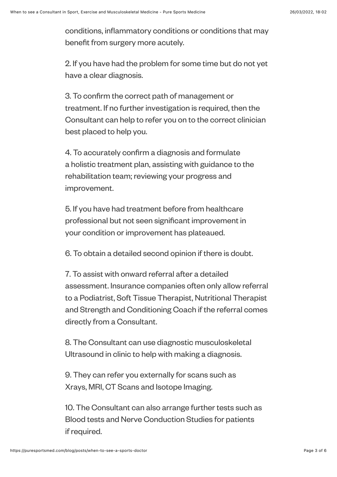conditions, inflammatory conditions or conditions that may benefit from surgery more acutely.

2. If you have had the problem for some time but do not yet have a clear diagnosis.

3. To confirm the correct path of management or treatment. If no further investigation is required, then the Consultant can help to refer you on to the correct clinician best placed to help you.

4. To accurately confirm a diagnosis and formulate a holistic treatment plan, assisting with guidance to the rehabilitation team; reviewing your progress and improvement.

5. If you have had treatment before from healthcare professional but not seen significant improvement in your condition or improvement has plateaued.

6. To obtain a detailed second opinion if there is doubt.

7. To assist with onward referral after a detailed assessment. Insurance companies often only allow referral to a Podiatrist, Soft Tissue Therapist, Nutritional Therapist and Strength and Conditioning Coach if the referral comes directly from a Consultant.

8. The Consultant can use diagnostic musculoskeletal Ultrasound in clinic to help with making a diagnosis.

9. They can refer you externally for scans such as Xrays, MRI, CT Scans and Isotope Imaging.

10. The Consultant can also arrange further tests such as Blood tests and Nerve Conduction Studies for patients if required.